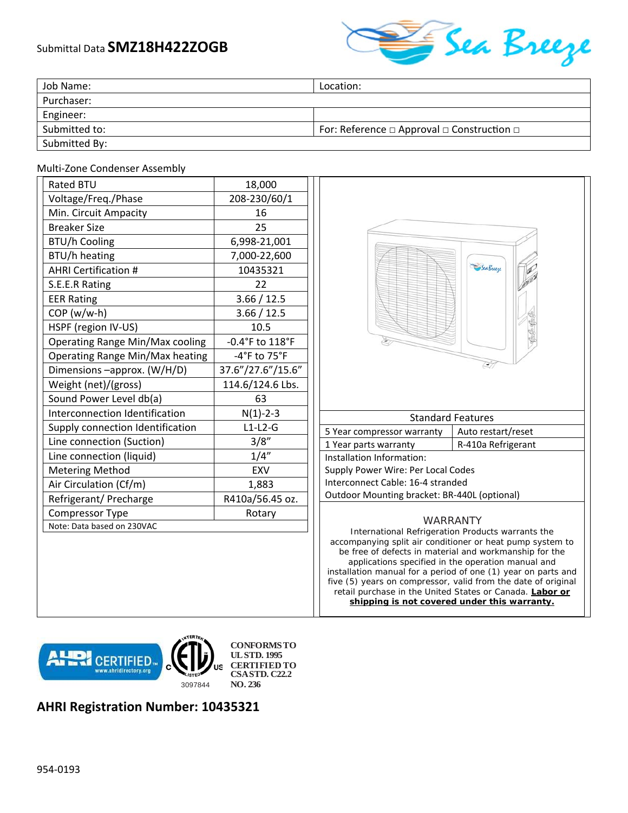## Submittal Data **SMZ18H422ZOGB**



| Job Name:     | Location:                                                 |
|---------------|-----------------------------------------------------------|
| Purchaser:    |                                                           |
| Engineer:     |                                                           |
| Submitted to: | For: Reference $\Box$ Approval $\Box$ Construction $\Box$ |
| Submitted By: |                                                           |

## Multi‐Zone Condenser Assembly

| <b>Rated BTU</b>                       | 18,000            |
|----------------------------------------|-------------------|
| Voltage/Freq./Phase                    | 208-230/60/1      |
| Min. Circuit Ampacity                  | 16                |
| <b>Breaker Size</b>                    | 25                |
| <b>BTU/h Cooling</b>                   | 6,998-21,001      |
| BTU/h heating                          | 7,000-22,600      |
| <b>AHRI Certification #</b>            | 10435321          |
| S.E.E.R Rating                         | 22                |
| <b>EER Rating</b>                      | 3.66 / 12.5       |
| $COP(w/w-h)$                           | 3.66 / 12.5       |
| HSPF (region IV-US)                    | 10.5              |
| <b>Operating Range Min/Max cooling</b> | -0.4°F to 118°F   |
| Operating Range Min/Max heating        | $-4$ °F to 75°F   |
| Dimensions -approx. (W/H/D)            | 37.6"/27.6"/15.6" |
| Weight (net)/(gross)                   | 114.6/124.6 Lbs.  |
| Sound Power Level db(a)                | 63                |
| Interconnection Identification         | $N(1) - 2 - 3$    |
| Supply connection Identification       | $L1-L2-G$         |
| Line connection (Suction)              | 3/8"              |
| Line connection (liquid)               | 1/4''             |
| <b>Metering Method</b>                 | <b>EXV</b>        |
| Air Circulation (Cf/m)                 | 1,883             |
| Refrigerant/ Precharge                 | R410a/56.45 oz.   |
| <b>Compressor Type</b>                 | Rotary            |
| Note: Data based on 230VAC             |                   |



five (5) years on compressor, valid from the date of original retail purchase in the United States or Canada. **Labor or shipping is not covered under this warranty.** 

WP **CERTIFIED.** 3097844 **NO. 236**

**CONFORMS TO UL STD. 1995 CERTIFIED TO CSA STD. C22.2**

## **AHRI Registration Number: 10435321**